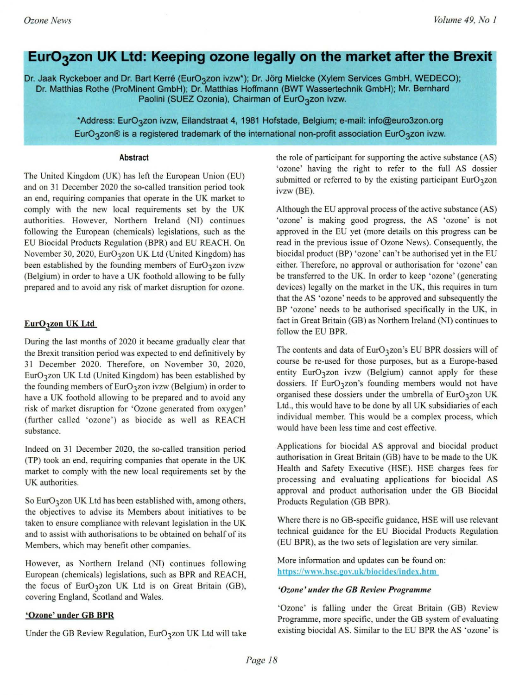# **EurO**<sub>3</sub>zon UK Ltd: Keeping ozone legally on the market after the Brexit

Dr. Jaak Ryckeboer and Dr. Bart Kerré (EurO3zon ivzw\*); Dr. Jörg Mielcke (Xylem Services GmbH, WEDECO); Dr. Matthias Rothe (ProMinent GmbH); Dr. Matthias Hoffmann (BWT Wassertechnik GmbH); Mr. Bernhard Paolini (SUEZ Ozonia), Chairman of EurO3zon ivzw.

> "Address: Eur03zon ivzw. Eilandstraat 4, 1981 Hofstade. Belgium; e-mail: info@eur03zon.org EurO<sub>3</sub>zon® is a registered trademark of the international non-profit association EurO<sub>3</sub>zon ivzw.

#### Abstract

The United Kingdom (UK) has left the European Union (EU) and on 31 December 2020 the so-called transition period took an end, requiring companies that operate in the UK market to comply with the new local requirements set by the UK authorities. However, Northern Ireland (NI) continues following the European (chemicals) legislations, such as the EU Biocidal Products Regulation (BPR) and EU REACH. On November 30, 2020, EurO3zon UK Ltd (United Kingdom) has been established by the founding members of EurO3zon ivzw (Belgium) in order to have a UK foothold allowing to be fully **prepared and to avoid any risk of market disruption for ozone.** 

### EurO3zon UK Ltd

During the last months of 2020 it became gradually clear that the Brexit transition period was expected to end definitively by 31 December 2020. Therefore, on November 30, 2020, Eur03zon UK Ltd (United Kingdom) has been established by the founding members of  $EurO<sub>3</sub>zon ivzw$  (Belgium) in order to have a UK foothold allowing to be prepared and to avoid any risk of market disruption for 'Ozone generated from oxygen' (further called 'ozone') as biocide as well as REACH **substance.** 

Indeed on 31 December 2020, the so-called transition period (TP) took an end, requiring companies that operate in the UK market to comply with the new local requirements set by the UK authorities.

So EurO3zon UK Ltd has been established with, among others, **the objectives to advise its Members about initiatives to be taken to ensure compliance with relevant legislation in the UK and to assist with authorisations to be obtained on behalf of its**  Members, which may benefit other companies.

However, as Northern Ireland (NI) continues following European (chemicals) legislations, such as BPR and REACH, the focus of  $EuO<sub>3</sub>zon UK Ltd$  is on Great Britain (GB), covering England, Scotland and Wales.

### 'Ozone' under GB BPR

Under the GB Review Regulation,  $EurO<sub>3</sub>zon UK Ltd will take$ 

the role of participant for supporting the active substance (AS) 'ozone' having the right to refer to the full AS dossier submitted or referred to by the existing participant  $EurO<sub>3</sub>zon$ ivzw (BE).

Although the EU approval process of the active substance (AS) **'ozone' is making good progress, the AS 'ozone' is not**  approved in the EU yet (more details on this progress can be read in the previous issue of Ozone News). Consequently, the biocidal product (BP) 'ozone' can't be authorised yet in the EU **either. Therefore, no approval or authorisation for 'ozone' can**  be transferred to the UK. In order to keep 'ozone' (generating devices) legally on the market in the UK, this requires in tum that the AS 'ozone' needs to be approved and subsequently the BP 'ozone' needs to be authorised specifically in the UK, in fact in Great Britain (GB) as Northern Ireland (NI) continues to follow the EU BPR.

The contents and data of  $EurO<sub>3</sub>zon's EU BPR losses will of$ course be re-used for those purposes, but as a Europe-based entity  $EurO<sub>3</sub>zon$  ivzw (Belgium) cannot apply for these dossiers. If  $EurO<sub>3</sub>zon's$  founding members would not have organised these dossiers under the umbrella of EurO3zon UK Ltd., this would have to be done by all UK subsidiaries of each individual member. This would be a complex process, which **would have been less time and cost effective.** 

Applications for biocidal AS approval and biocidal product authorisation in Great Britain (GB) have to be made to the UK Health and Safety Executive (HSE). HSE charges fees for processing and evaluating applications for biocidal AS approval and product authorisation under the GB Biocidal Products Regulation (GB BPR).

Where there is no GB-specific guidance, HSE will use relevant technical guidance for the EU Biocidal Products Regulation (EU BPR), as the two sets of legislation are very similar.

More information and updates can be found on: **h ttps** *://\\* **\\-n.h se .go\', u kfbioc idcs/i ndex. htm** 

### *'Ozone' under til e GB Review Programme*

'Ozone' is falling under the Great Britain (GB) Review **Programme, more specific, under the GB system of evaluating**  existing biocidal AS. Similar to the EU BPR the AS 'ozone' is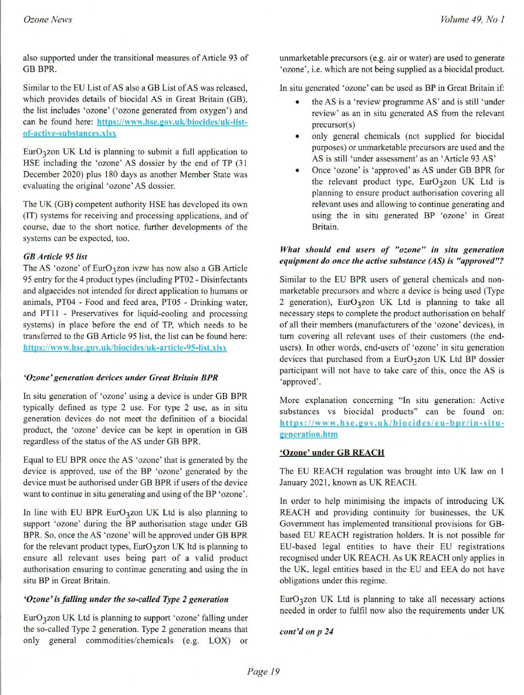also supported under the transitional measures of Article 93 of GB BPR.

Similar to the EU List of AS also a GB List of AS was released, which provides details of biocidal AS in Great Britain (GB), the list includes 'ozone' ('ozone generated from oxygen') and can be found here: https://www.hse.gov.uk/biocides/uk-list**of-acti ve-su bstances.xlsx** 

 $EurO<sub>3</sub>zon UK Ltd$  is planning to submit a full application to HSE including the 'ozone' AS dossier by the end of TP (31 December 2020) plus 180 days as another Member State was **evaluating the original 'ozone' AS dossier.** 

The UK (GB) competent authority HSE has developed its own (IT) systems for receiving and processing applications. and of course, due to the short notice, further developments of the systems can be expected, too.

### *GB Article* 95 *list*

The AS 'ozone' of EurO<sub>3</sub>zon ivzw has now also a GB Article 95 entry for the 4 product types (including PT02 - Disinfectants **and algaecides not intended for direct application to humans or**  animals, PT04 - Food and feed area, PT05 - Drinking water, and PIlI - Preservatives for liquid-cooling and processing systems) in place before the end of TP, which needs to be transferred to the GB Article 95 list, the list can be found here: https://www.hse.gov.uk/biocides/uk-artic\e-95-list.xlsx

### *'Ozone' generation devices under Great Britain BPR*

**In situ generation of 'ozone' using a device is under GB BPR**  typically defined as type 2 use. For type 2 use, as in situ **generation devices do not meet the definition of a biocidal product, the 'ozone' device can be kept in operation in GB**  regardless of the status of the AS under GB BPR.

Equal to EU BPR once the AS 'ozone' that is generated by the device is approved, use of the BP 'ozone' generated by the device must be authorised under GB BPR if users of the device want to continue in situ generating and using of the BP 'ozone'.

In line with EU BPR EurO<sub>3</sub>zon UK Ltd is also planning to support 'ozone' during the BP authorisation stage under GB BPR. So, once the AS 'ozone' will be approved under GB BPR for the relevant product types,  $EurO<sub>3</sub>zon UK$  ltd is planning to ensure all relevant uses being part of a valid product **authorisation ensuring to continue generating and using the in situ BP in Great Britain.** 

# *'Ozone' is falling under the so-called Type* **2** *generation*

Eur03zon UK Ltd is planning to support 'ozone' falling under the so-called Type 2 generation. Type 2 generation means that only general commodities/chemicals (e.g. LOX) or **unmarketable precursors (e.g. air or water) are used to generate 'ozone', i.e. which are not being supplied as a biocidal product.** 

**In situ generated 'ozone' can be used as BP in Great Britain if:** 

- **the AS is a 'review programme AS ' and is still 'under review' as an in situ generated AS from the relevant**  precursor(s)
- only general chemicals (not supplied for biocidal **purposes) or unmarketable precursors are used and the**  AS is still 'under assessment' as an 'Article 93 AS'
- Once 'ozone' is 'approved' as AS under GB BPR for the relevant product type, EurO3zon UK Ltd is **planning to ensure product authorisation covering all relevant uses and allowing to continue generating and using the in situ generated BP 'ozone' in Great Britain.**

## *What should end users of "ozone" in situ generation equipment do once the active substance (AS) is "approved"?*

Similar to the EU BPR users of general chemicals and nonmarketable precursors and where a device is being used (Type 2 generation), EurO<sub>3</sub>zon UK Ltd is planning to take all necessary steps to complete the product authorisation on behalf of all their members (manufacturers of the 'ozone' devices), in **tum covering all relevant uses of their customers (the end**users). In other words, end-users of 'ozone' in situ generation devices that purchased from a EurO3zon UK Ltd BP dossier participant will not have to take care of this, once the AS is **'approved'.** 

**More explanation concerning "In situ generation: Active substances vs biocidal products" can be found on:**   $h$ ttps://www.hse.gov.uk/biocides/eu-bpr/in-situ**generation.htm** 

# 'Ozone' under **GB REACH**

The EU REACH regulation was brought into UK law on I January 2021, known as UK REACH.

In order to help minimising the impacts of introducing UK REACH and providing continuity for businesses, the UK **Government has implemented transitional provisions for GB**based EU REACH registration holders. It is not possible for EU-based legal entities to have their EU registrations recognised under UK REACH. As UK REACH only applies in the UK, legal entities based in the EU and EEA do not have **obligations under this regime.** 

 $EurO<sub>3</sub>zon UK Ltd$  is planning to take all necessary actions needed in order to fulfil now also the requirements under UK

*cont'd on p 24*